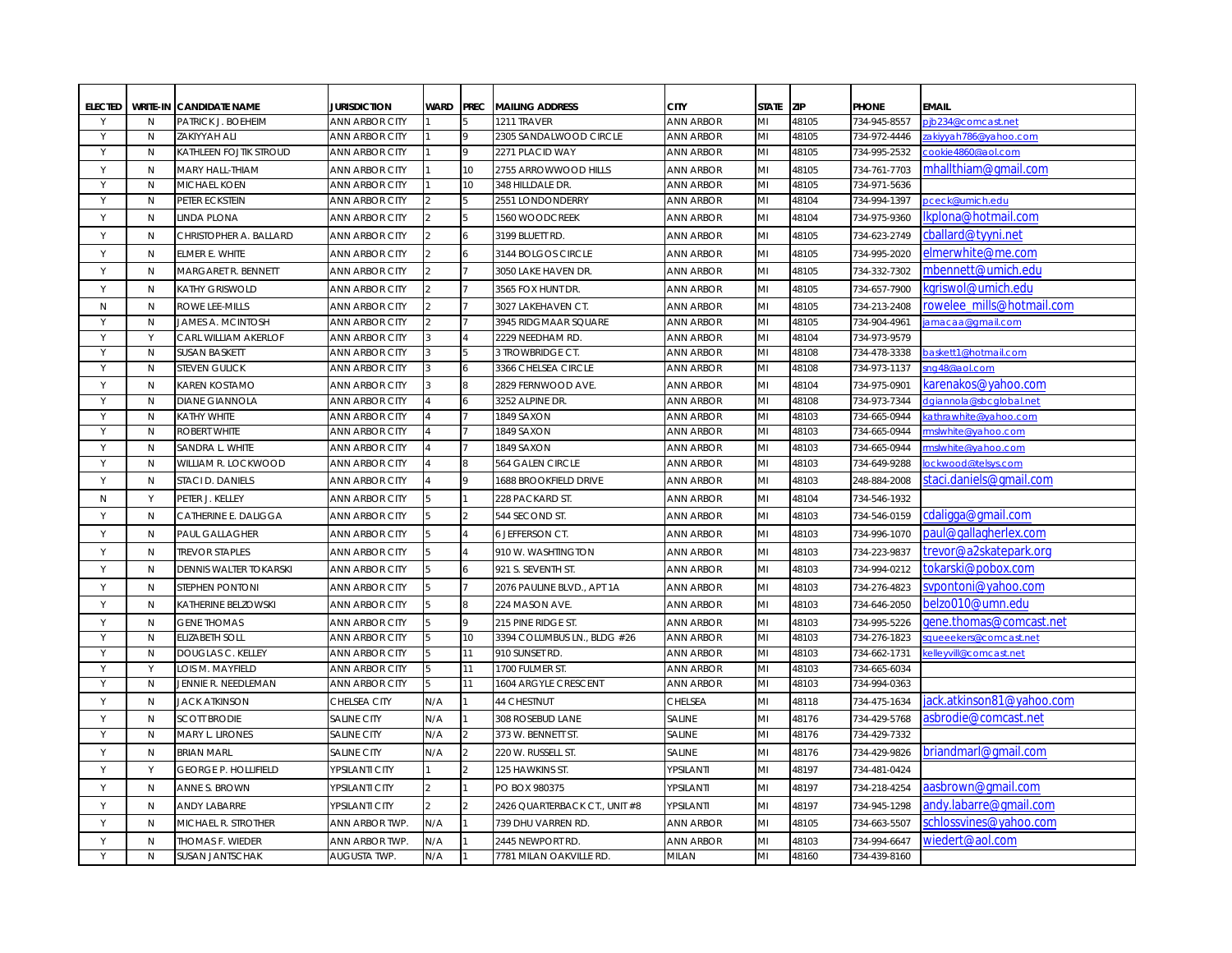| <b>ELECTED</b> |                   | <b>WRITE-IN CANDIDATE NAME</b>                       | <b>JURISDICTION</b>                            | <b>WARD</b>   | <b>PREC</b>     | <b>MAILING ADDRESS</b>                    | <b>CITY</b>                          | <b>STATE</b> | <b>ZIP</b>     | <b>PHONE</b>                 | <b>EMAIL</b>                                |
|----------------|-------------------|------------------------------------------------------|------------------------------------------------|---------------|-----------------|-------------------------------------------|--------------------------------------|--------------|----------------|------------------------------|---------------------------------------------|
| Υ              | N                 | PATRICK J. BOEHEIM                                   | <b>ANN ARBOR CITY</b>                          |               | 9               | 1211 TRAVER                               | <b>ANN ARBOR</b>                     | MI           | 48105          | 734-945-8557                 | pjb234@comcast.net                          |
| Y<br>Y         | N<br>$\mathsf{N}$ | <b>ZAKIYYAH ALI</b><br><b>KATHLEEN FOJTIK STROUD</b> | <b>ANN ARBOR CITY</b><br><b>ANN ARBOR CITY</b> |               |                 | 2305 SANDALWOOD CIRCLE<br>2271 PLACID WAY | <b>ANN ARBOR</b><br><b>ANN ARBOR</b> | MI<br>MI     | 48105<br>48105 | 734-972-4446<br>734-995-2532 | zakiyyah786@yahoo.com<br>cookie4860@aol.com |
|                |                   |                                                      |                                                |               |                 |                                           |                                      |              |                |                              |                                             |
| Y              | $\mathsf{N}$      | MARY HALL-THIAM                                      | <b>ANN ARBOR CITY</b>                          |               | 10              | 2755 ARROWWOOD HILLS                      | <b>ANN ARBOR</b>                     | MI           | 48105          | 734-761-7703                 | mhallthiam@gmail.com                        |
| Y              | $\mathsf{N}$      | <b>MICHAEL KOEN</b>                                  | <b>ANN ARBOR CITY</b>                          |               | 10 <sup>1</sup> | 348 HILLDALE DR.                          | <b>ANN ARBOR</b>                     | MI           | 48105          | 734-971-5636                 |                                             |
| Y              | N                 | PETER ECKSTEIN                                       | <b>ANN ARBOR CITY</b>                          |               |                 | 2551 LONDONDERRY                          | <b>ANN ARBOR</b>                     | MI           | 48104          | 734-994-1397                 | pceck@umich.edu                             |
| Y              | $\mathsf{N}$      | LINDA PLONA                                          | <b>ANN ARBOR CITY</b>                          |               |                 | 1560 WOODCREEK                            | <b>ANN ARBOR</b>                     | MI           | 48104          | 734-975-9360                 | lkplona@hotmail.com                         |
| Y              | $\mathsf{N}$      | CHRISTOPHER A. BALLARD                               | <b>ANN ARBOR CITY</b>                          |               | 6               | 3199 BLUETT RD.                           | <b>ANN ARBOR</b>                     | MI           | 48105          | 734-623-2749                 | cballard@tyyni.net                          |
| Y              | N                 | ELMER E. WHITE                                       | <b>ANN ARBOR CITY</b>                          |               |                 | 3144 BOLGOS CIRCLE                        | <b>ANN ARBOR</b>                     | MI           | 48105          | 734-995-2020                 | elmerwhite@me.com                           |
| Y              | N                 | <b>MARGARET R. BENNETT</b>                           | <b>ANN ARBOR CITY</b>                          |               |                 | 3050 LAKE HAVEN DR.                       | <b>ANN ARBOR</b>                     | MI           | 48105          | 734-332-7302                 | mbennett@umich.edu                          |
| Y              | $\mathsf{N}$      | KATHY GRISWOLD                                       | <b>ANN ARBOR CITY</b>                          |               |                 | 3565 FOX HUNT DR.                         | <b>ANN ARBOR</b>                     | MI           | 48105          | 734-657-7900                 | kgriswol@umich.edu                          |
| N              | N                 | ROWE LEE-MILLS                                       | <b>ANN ARBOR CITY</b>                          |               |                 | 3027 LAKEHAVEN CT.                        | <b>ANN ARBOR</b>                     | MI           | 48105          | 734-213-2408                 | rowelee mills@hotmail.com                   |
| Y              | N                 | <b>JAMES A. MCINTOSH</b>                             | <b>ANN ARBOR CITY</b>                          |               |                 | 3945 RIDGMAAR SQUARE                      | <b>ANN ARBOR</b>                     | MI           | 48105          | 734-904-4961                 | amacaa@gmail.com                            |
| $\mathsf{v}$   | Y                 | CARL WILLIAM AKERLOF                                 | <b>ANN ARBOR CITY</b>                          |               |                 | 2229 NEEDHAM RD.                          | <b>ANN ARBOR</b>                     | MI           | 48104          | 734-973-9579                 |                                             |
| Y              | $\mathsf{N}$      | <b>SUSAN BASKETT</b>                                 | <b>ANN ARBOR CITY</b>                          |               |                 | 3 TROWBRIDGE CT.                          | <b>ANN ARBOR</b>                     | MI           | 48108          | 734-478-3338                 | baskett1@hotmail.com                        |
| Y              | $\mathsf{N}$      | <b>STEVEN GULICK</b>                                 | <b>ANN ARBOR CITY</b>                          |               |                 | 3366 CHELSEA CIRCLE                       | <b>ANN ARBOR</b>                     | MI           | 48108          | 734-973-1137                 | ng48@aol.com                                |
| Y              | $\mathsf{N}$      | KAREN KOSTAMO                                        | <b>ANN ARBOR CITY</b>                          |               |                 | 2829 FERNWOOD AVE.                        | <b>ANN ARBOR</b>                     | MI           | 48104          | 734-975-0901                 | karenakos@yahoo.com                         |
| Y              | $\mathsf{N}$      | <b>DIANE GIANNOLA</b>                                | <b>ANN ARBOR CITY</b>                          |               |                 | 3252 ALPINE DR.                           | <b>ANN ARBOR</b>                     | MI           | 48108          | 734-973-7344                 | dgiannola@sbcglobal.net                     |
| Y              | $\mathsf{N}$      | <b>KATHY WHITE</b>                                   | <b>ANN ARBOR CITY</b>                          |               |                 | 1849 SAXON                                | <b>ANN ARBOR</b>                     | MI           | 48103          | 734-665-0944                 | athrawhite@yahoo.com                        |
| Y              | $\mathsf{N}$      | <b>ROBERT WHITE</b>                                  | <b>ANN ARBOR CITY</b>                          |               |                 | 1849 SAXON                                | <b>ANN ARBOR</b>                     | MI           | 48103          | 734-665-0944                 | mslwhite@yahoo.com                          |
| Y              | $\mathsf{N}$      | Sandra L. White                                      | <b>ANN ARBOR CITY</b>                          |               |                 | 1849 SAXON                                | <b>ANN ARBOR</b>                     | MI           | 48103          | 734-665-0944                 | mslwhite@yahoo.com                          |
| Y              | $\mathsf{N}$      | WILLIAM R. LOCKWOOD                                  | <b>ANN ARBOR CITY</b>                          |               |                 | 564 GALEN CIRCLE                          | <b>ANN ARBOR</b>                     | MI           | 48103          | 734-649-9288                 | ockwood@telsys.com                          |
| Y              | N                 | STACI D. DANIELS                                     | <b>ANN ARBOR CITY</b>                          |               |                 | <b>1688 BROOKFIELD DRIVE</b>              | <b>ANN ARBOR</b>                     | MI           | 48103          | 248-884-2008                 | staci.daniels@gmail.com                     |
| N              | Y                 | PETER J. KELLEY                                      | <b>ANN ARBOR CITY</b>                          |               |                 | 228 PACKARD ST.                           | <b>ANN ARBOR</b>                     | MI           | 48104          | 734-546-1932                 |                                             |
| Y              | $\mathsf{N}$      | CATHERINE E. DALIGGA                                 | <b>ANN ARBOR CITY</b>                          |               |                 | 544 SECOND ST.                            | <b>ANN ARBOR</b>                     | MI           | 48103          | 734-546-0159                 | cdaligga@gmail.com                          |
| Y              | N                 | PAUL GALLAGHER                                       | <b>ANN ARBOR CITY</b>                          |               |                 | <b>6 JEFFERSON CT.</b>                    | <b>ANN ARBOR</b>                     | MI           | 48103          | 734-996-1070                 | paul@gallagherlex.com                       |
| Y              | $\mathsf{N}$      | <b>TREVOR STAPLES</b>                                | <b>ANN ARBOR CITY</b>                          |               |                 | 910 W. WASHTINGTON                        | <b>ANN ARBOR</b>                     | MI           | 48103          | 734-223-9837                 | trevor@a2skatepark.org                      |
| Y              | $\mathsf{N}$      | <b>DENNIS WALTER TOKARSKI</b>                        | <b>ANN ARBOR CITY</b>                          |               |                 | 921 S. SEVENTH ST.                        | <b>ANN ARBOR</b>                     | MI           | 48103          | 734-994-0212                 | tokarski@pobox.com                          |
| Y              | N                 | Stephen Pontoni                                      | <b>ANN ARBOR CITY</b>                          |               |                 | 2076 PAULINE BLVD., APT 1A                | ANN ARBOR                            | MI           | 48103          | 734-276-4823                 | svpontoni@yahoo.com                         |
| Y              | N                 | <b>KATHERINE BELZOWSKI</b>                           | <b>ANN ARBOR CITY</b>                          |               |                 | 224 MASON AVE                             | <b>ANN ARBOR</b>                     | MI           | 48103          | 734-646-2050                 | belzo010@umn.edu                            |
| Y              | $\mathsf{N}$      | <b>GENE THOMAS</b>                                   | <b>ANN ARBOR CITY</b>                          |               |                 | 215 PINE RIDGE ST.                        | <b>ANN ARBOR</b>                     | MI           | 48103          | 734-995-5226                 | gene.thomas@comcast.net                     |
| Y              | $\mathsf{N}$      | <b>ELIZABETH SOLL</b>                                | <b>ANN ARBOR CITY</b>                          |               | 10              | 3394 COLUMBUS LN., BLDG #26               | <b>ANN ARBOR</b>                     | MI           | 48103          | 734-276-1823                 | queeekers@comcast.net                       |
| Y              | $\mathsf{N}$      | <b>DOUGLAS C. KELLEY</b>                             | <b>ANN ARBOR CITY</b>                          |               | 11              | 910 SUNSET RD.                            | <b>ANN ARBOR</b>                     | MI           | 48103          | 734-662-1731                 | <u>celleyvill@comcast.net</u>               |
| Y              | Y                 | LOIS M. MAYFIELD                                     | <b>ANN ARBOR CITY</b>                          |               | 11              | 1700 FULMER ST.                           | <b>ANN ARBOR</b>                     | MI           | 48103          | 734-665-6034                 |                                             |
| Y              | N                 | JENNIE R. NEEDLEMAN                                  | <b>ANN ARBOR CITY</b>                          |               | 11              | 1604 ARGYLE CRESCENT                      | <b>ANN ARBOR</b>                     | MI           | 48103          | 734-994-0363                 |                                             |
| Y              | $\mathsf{N}$      | <b>JACK ATKINSON</b>                                 | CHELSEA CITY                                   | N/A           |                 | <b>44 CHESTNUT</b>                        | <b>CHELSEA</b>                       | MI           | 48118          | 734-475-1634                 | iack.atkinson81@vahoo.com                   |
| Y              | N                 | <b>SCOTT BRODIE</b>                                  | <b>SALINE CITY</b>                             | N/A           |                 | 308 ROSEBUD LANE                          | <b>SALINE</b>                        | MI           | 48176          | 734-429-5768                 | asbrodie@comcast.net                        |
| Y              | $\mathsf{N}$      | MARY L. LIRONES                                      | <b>SALINE CITY</b>                             | N/A           |                 | 373 W. BENNETT ST                         | <b>SALINE</b>                        | MI           | 48176          | 734-429-7332                 |                                             |
| Y              | $\mathsf{N}$      | <b>BRIAN MARL</b>                                    | <b>SALINE CITY</b>                             | N/A           |                 | 220 W. RUSSELL ST.                        | <b>SALINE</b>                        | MI           | 48176          | 734-429-9826                 | briandmarl@gmail.com                        |
| Y              | Y                 | <b>GEORGE P. HOLLIFIELD</b>                          | YPSILANTI CITY                                 |               | $\mathfrak{p}$  | 125 HAWKINS ST.                           | YPSILANTI                            | MI           | 48197          | 734-481-0424                 |                                             |
| Y              | N                 | ANNE S. BROWN                                        | YPSILANTI CITY                                 | $\mathcal{P}$ |                 | PO BOX 980375                             | YPSILANTI                            | MI           | 48197          | 734-218-4254                 | aasbrown@gmail.com                          |
| Y              | $\mathsf{N}$      | <b>ANDY LABARRE</b>                                  | YPSILANTI CITY                                 | $\mathcal{P}$ |                 | 2426 QUARTERBACK CT., UNIT #8             | YPSILANTI                            | MI           | 48197          | 734-945-1298                 | andy.labarre@gmail.com                      |
| Y              | $\mathsf{N}$      | MICHAEL R. STROTHER                                  | ANN ARBOR TWP.                                 | N/A           |                 | <b>739 DHU VARREN RD</b>                  | <b>ANN ARBOR</b>                     | MI           | 48105          | 734-663-5507                 | schlossvines@yahoo.com                      |
| Y              | $\mathsf{N}$      | THOMAS F. WIEDER                                     | <b>ANN ARBOR TWP.</b>                          | N/A           |                 | 2445 NEWPORT RD.                          | <b>ANN ARBOR</b>                     | MI           | 48103          | 734-994-6647                 | wiedert@aol.com                             |
|                | $\mathsf{N}$      | <b>SUSAN JANTSCHAK</b>                               | AUGUSTA TWP.                                   | N/A           |                 | 7781 MILAN OAKVILLE RD.                   | <b>MILAN</b>                         | MI           | 48160          | 734-439-8160                 |                                             |
|                |                   |                                                      |                                                |               |                 |                                           |                                      |              |                |                              |                                             |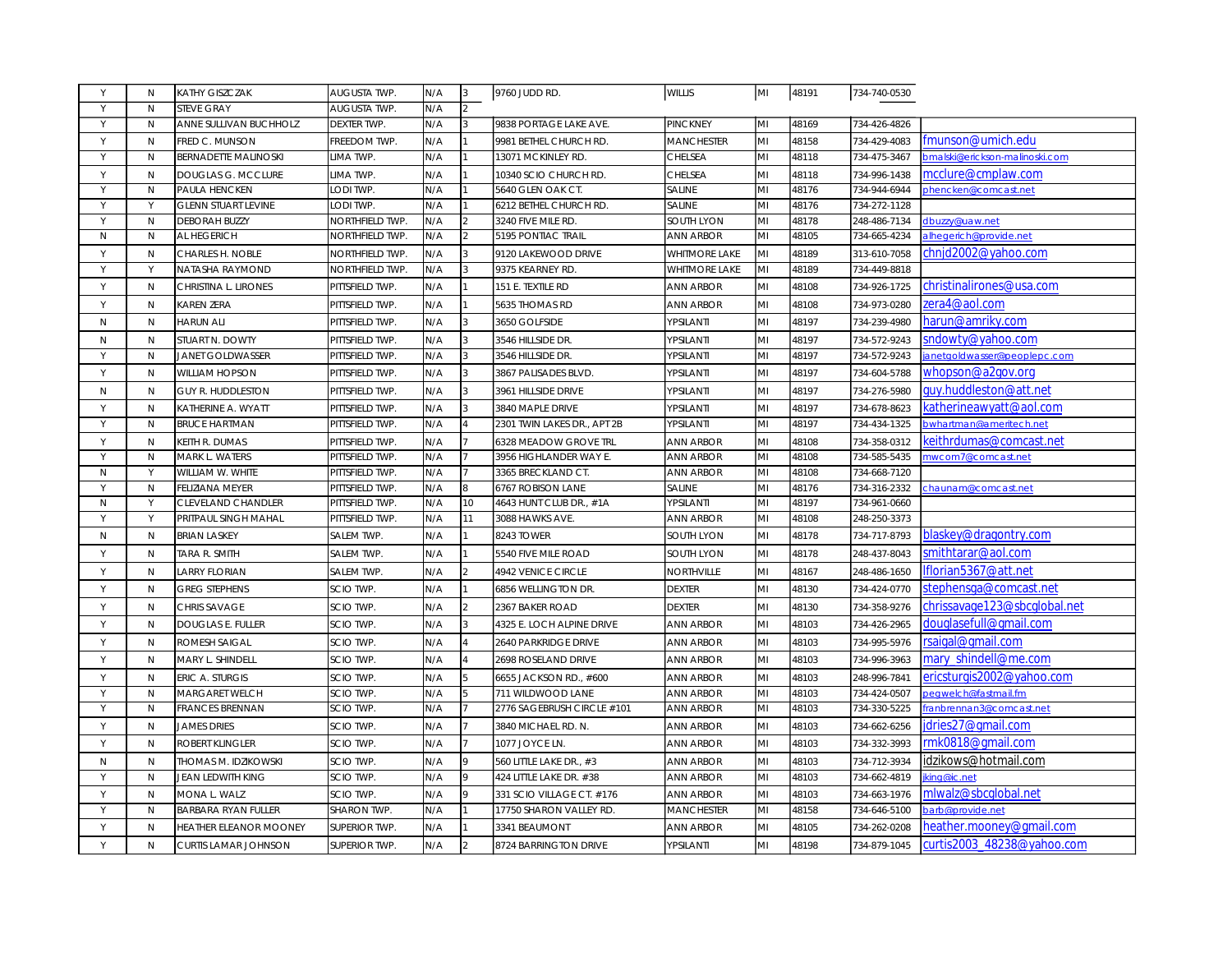| Y         | N            | <b>KATHY GISZCZAK</b>       | AUGUSTA TWP.         | N/A | 3              | 9760 JUDD RD.               | <b>WILLIS</b>        | MI  | 48191 | 734-740-0530 |                                 |
|-----------|--------------|-----------------------------|----------------------|-----|----------------|-----------------------------|----------------------|-----|-------|--------------|---------------------------------|
| Υ         | $\mathsf{N}$ | <b>STEVE GRAY</b>           | AUGUSTA TWP.         | N/A | $\overline{2}$ |                             |                      |     |       |              |                                 |
| Y         | N            | ANNE SULLIVAN BUCHHOLZ      | <b>DEXTER TWP.</b>   | N/A |                | 9838 PORTAGE LAKE AVE.      | PINCKNEY             | lмı | 48169 | 734-426-4826 |                                 |
| Y         | N            | FRED C. MUNSON              | FREEDOM TWP.         | N/A |                | 9981 BETHEL CHURCH RD.      | <b>MANCHESTER</b>    | lмı | 48158 | 734-429-4083 | fmunson@umich.edu               |
| Y         | $\mathsf{N}$ | <b>BERNADETTE MALINOSKI</b> | LIMA TWP.            | N/A |                | 13071 MCKINLEY RD           | CHELSEA              | MІ  | 48118 | 734-475-3467 | bmalski@erickson-malinoski.com  |
| Y         | $\mathsf{N}$ | <b>DOUGLAS G. MCCLURE</b>   | LIMA TWP.            | N/A |                | 10340 SCIO CHURCH RD.       | <b>CHELSEA</b>       | MI  | 48118 | 734-996-1438 | mcclure@cmplaw.com              |
| Υ         | N            | PAULA HENCKEN               | LODI TWP.            | N/A |                | 5640 GLEN OAK CT.           | <b>SALINE</b>        | lмı | 48176 | 734-944-6944 | phencken@comcast.net            |
| Y         | Υ            | <b>GLENN STUART LEVINE</b>  | LODI TWP.            | N/A |                | 6212 BETHEL CHURCH RD.      | <b>SALINE</b>        | MI  | 48176 | 734-272-1128 |                                 |
| Y         | N            | <b>DEBORAH BUZZY</b>        | NORTHFIELD TWP.      | N/A | $\mathfrak{p}$ | 3240 FIVE MILE RD.          | <b>SOUTH LYON</b>    | lмı | 48178 | 248-486-7134 | dbuzzy@uaw.net                  |
| N         | $\mathsf{N}$ | AL HEGERICH                 | NORTHFIELD TWP.      | N/A | $\mathfrak{p}$ | 5195 PONTIAC TRAIL          | <b>ANN ARBOR</b>     | MI  | 48105 | 734-665-4234 | alhegerich@provide.net          |
| Y         | $\mathsf{N}$ | <b>CHARLES H. NOBLE</b>     | NORTHFIELD TWP.      | N/A | 3              | 9120 LAKEWOOD DRIVE         | <b>WHITMORE LAKE</b> | lмı | 48189 | 313-610-7058 | chnid2002@vahoo.com             |
| Y         | Y            | NATASHA RAYMOND             | NORTHFIELD TWP.      | N/A | 3              | 9375 KEARNEY RD.            | <b>WHITMORE LAKE</b> | MI  | 48189 | 734-449-8818 |                                 |
| Y         | N            | CHRISTINA L. LIRONES        | PITTSFIELD TWP.      | N/A |                | 151 E. TEXTILE RD           | <b>ANN ARBOR</b>     | MI  | 48108 | 734-926-1725 | christinalirones@usa.com        |
| Y         | $\mathsf{N}$ | <b>KAREN ZERA</b>           | PITTSFIELD TWP.      | N/A |                | 5635 THOMAS RD              | <b>ANN ARBOR</b>     | MI  | 48108 | 734-973-0280 | zera4@aol.com                   |
| N         | $\mathsf{N}$ | <b>HARUN ALI</b>            | PITTSFIELD TWP.      | N/A |                | 3650 GOLFSIDE               | YPSILANTI            | MI  | 48197 | 734-239-4980 | harun@amriky.com                |
| ${\sf N}$ | $\mathsf{N}$ | STUART N. DOWTY             | PITTSFIELD TWP.      | N/A | ર              | 3546 HILLSIDE DR.           | YPSILANTI            | MI  | 48197 | 734-572-9243 | sndowty@yahoo.com               |
| Y         | $\mathsf{N}$ | <b>JANET GOLDWASSER</b>     | PITTSFIELD TWP.      | N/A | 3              | 3546 HILLSIDE DR.           | YPSILANTI            | MI  | 48197 | 734-572-9243 | anetgoldwasser@peoplepc.com     |
| Y         | N            | <b>WILLIAM HOPSON</b>       | PITTSFIELD TWP.      | N/A | 3              | 3867 PALISADES BLVD.        | YPSILANTI            | lмı | 48197 | 734-604-5788 | whopson@a2gov.org               |
| N         | N            | <b>GUY R. HUDDLESTON</b>    | PITTSFIELD TWP.      | N/A |                | 3961 HILLSIDE DRIVE         | YPSILANTI            | MI  | 48197 | 734-276-5980 | guy.huddleston@att.net          |
| Y         | N            | KATHERINE A. WYATT          | PITTSFIELD TWP.      | N/A | 3              | 3840 MAPLE DRIVE            | YPSILANTI            | lмı | 48197 | 734-678-8623 | katherineawyatt@aol.com         |
| Y         | N            | <b>BRUCE HARTMAN</b>        | PITTSFIELD TWP.      | N/A |                | 2301 TWIN LAKES DR., APT 2B | YPSILANTI            | MI  | 48197 | 734-434-1325 | bwhartman@ameritech.net         |
| Y         | $\mathsf{N}$ | KEITH R. DUMAS              | PITTSFIELD TWP.      | N/A |                | 6328 MEADOW GROVE TRL       | <b>ANN ARBOR</b>     | MI  | 48108 | 734-358-0312 | keith <u>rdumas@comcast.net</u> |
| Y         | $\mathsf{N}$ | <b>MARK L. WATERS</b>       | PITTSFIELD TWP.      | N/A |                | 3956 HIGHLANDER WAY E.      | <b>ANN ARBOR</b>     | lмı | 48108 | 734-585-5435 | nwcom7@comcast.net              |
| N         | Y            | WILLIAM W. WHITE            | PITTSFIELD TWP.      | N/A |                | 3365 BRECKLAND CT           | <b>ANN ARBOR</b>     | MI  | 48108 | 734-668-7120 |                                 |
| Y         | $\mathsf{N}$ | <b>FELIZIANA MEYER</b>      | PITTSFIELD TWP.      | N/A | 8              | <b>6767 ROBISON LANE</b>    | <b>SALINE</b>        | lмı | 48176 | 734-316-2332 | chaunam@comcast.net             |
| ${\sf N}$ | Y            | <b>CLEVELAND CHANDLER</b>   | PITTSFIELD TWP.      | N/A | 10             | 4643 HUNT CLUB DR., #1A     | YPSILANTI            | MI  | 48197 | 734-961-0660 |                                 |
| Y         | Y            | PRITPAUL SINGH MAHAL        | PITTSFIELD TWP.      | N/A | 11             | 3088 HAWKS AVE              | <b>ANN ARBOR</b>     | lмı | 48108 | 248-250-3373 |                                 |
| N         | $\mathsf{N}$ | <b>BRIAN LASKEY</b>         | SALEM TWP.           | N/A |                | 8243 TOWER                  | <b>SOUTH LYON</b>    | MI  | 48178 | 734-717-8793 | blaskey@dragontry.com           |
| Y         | $\mathsf{N}$ | TARA R. SMITH               | SALEM TWP.           | N/A |                | 5540 FIVE MILE ROAD         | <b>SOUTH LYON</b>    | MI  | 48178 | 248-437-8043 | smithtarar@aol.com              |
| Y         | $\mathsf{N}$ | <b>LARRY FLORIAN</b>        | SALEM TWP.           | N/A |                | <b>4942 VENICE CIRCLE</b>   | <b>NORTHVILLE</b>    | MI  | 48167 | 248-486-1650 | lflorian5367@att.net            |
| Y         | $\mathsf{N}$ | <b>GREG STEPHENS</b>        | SCIO TWP.            | N/A |                | 6856 WELLINGTON DR.         | <b>DEXTER</b>        | MI  | 48130 | 734-424-0770 | stephensga@comcast.net          |
| Y         | $\mathsf{N}$ | <b>CHRIS SAVAGE</b>         | SCIO TWP.            | N/A |                | 2367 BAKER ROAD             | <b>DEXTER</b>        | MI  | 48130 | 734-358-9276 | chrissavage123@sbcglobal.net    |
| Y         | $\mathsf{N}$ | <b>DOUGLAS E. FULLER</b>    | SCIO TWP.            | N/A | 3              | 4325 E. LOCH ALPINE DRIVE   | <b>ANN ARBOR</b>     | lмı | 48103 | 734-426-2965 | douglasefull@gmail.com          |
| Y         | N            | ROMESH SAIGAL               | SCIO TWP.            | N/A |                | <b>2640 PARKRIDGE DRIVE</b> | <b>ANN ARBOR</b>     | lмı | 48103 | 734-995-5976 | rsaigal@gmail.com               |
| Y         | $\mathsf{N}$ | MARY L. SHINDELL            | SCIO TWP.            | N/A |                | 2698 ROSELAND DRIVE         | <b>ANN ARBOR</b>     | lмı | 48103 | 734-996-3963 | mary shindell@me.com            |
| Y         | N            | <b>ERIC A. STURGIS</b>      | <b>SCIO TWP.</b>     | N/A |                | 6655 JACKSON RD., #600      | <b>ANN ARBOR</b>     | lмı | 48103 | 248-996-7841 | ericsturgis2002@yahoo.com       |
| Y         | $\mathsf{N}$ | <b>MARGARET WELCH</b>       | SCIO TWP.            | N/A |                | 711 WILDWOOD LANE           | <b>ANN ARBOR</b>     | MI  | 48103 | 734-424-0507 | pegwelch@fastmail.fm            |
| Y         | N            | <b>FRANCES BRENNAN</b>      | SCIO TWP.            | N/A |                | 2776 SAGEBRUSH CIRCLE #101  | <b>ANN ARBOR</b>     | MI  | 48103 | 734-330-5225 | franbrennan3@comcast.net        |
| Y         | $\mathsf{N}$ | <b>JAMES DRIES</b>          | SCIO TWP.            | N/A |                | 3840 MICHAEL RD. N.         | <b>ANN ARBOR</b>     | MI  | 48103 | 734-662-6256 | idries27@gmail.com              |
| Y         | N            | ROBERT KLINGLER             | SCIO TWP.            | N/A |                | 1077 JOYCE LN.              | <b>ANN ARBOR</b>     | lмı | 48103 | 734-332-3993 | rmk0818@gmail.com               |
| N         | $\mathsf{N}$ | THOMAS M. IDZIKOWSKI        | SCIO TWP.            | N/A |                | 560 LITTLE LAKE DR., #3     | <b>ANN ARBOR</b>     | lмı | 48103 | 734-712-3934 | idzikows@hotmail.com            |
| Y         | $\mathsf{N}$ | JEAN LEDWITH KING           | SCIO TWP.            | N/A |                | 424 LITTLE LAKE DR. #38     | <b>ANN ARBOR</b>     | lмı | 48103 | 734-662-4819 | king@ic.net                     |
| Y         | N            | MONA L. WALZ                | SCIO TWP.            | N/A |                | 331 SCIO VILLAGE CT. #176   | <b>ANN ARBOR</b>     | MI  | 48103 | 734-663-1976 | mlwalz@sbcglobal.net            |
| Y         | $\mathsf{N}$ | <b>BARBARA RYAN FULLER</b>  | SHARON TWP.          | N/A |                | 17750 SHARON VALLEY RD.     | <b>MANCHESTER</b>    | MI  | 48158 | 734-646-5100 | barb@provide.net                |
| Y         | $\mathsf{N}$ | HEATHER ELEANOR MOONEY      | <b>SUPERIOR TWP.</b> | N/A |                | 3341 BEAUMONT               | <b>ANN ARBOR</b>     | MI  | 48105 | 734-262-0208 | heather.mooney@gmail.com        |
| Y         | $\mathsf{N}$ | <b>CURTIS LAMAR JOHNSON</b> | <b>SUPERIOR TWP.</b> | N/A |                | 8724 BARRINGTON DRIVE       | YPSILANTI            | lмı | 48198 | 734-879-1045 | curtis2003_48238@yahoo.com      |